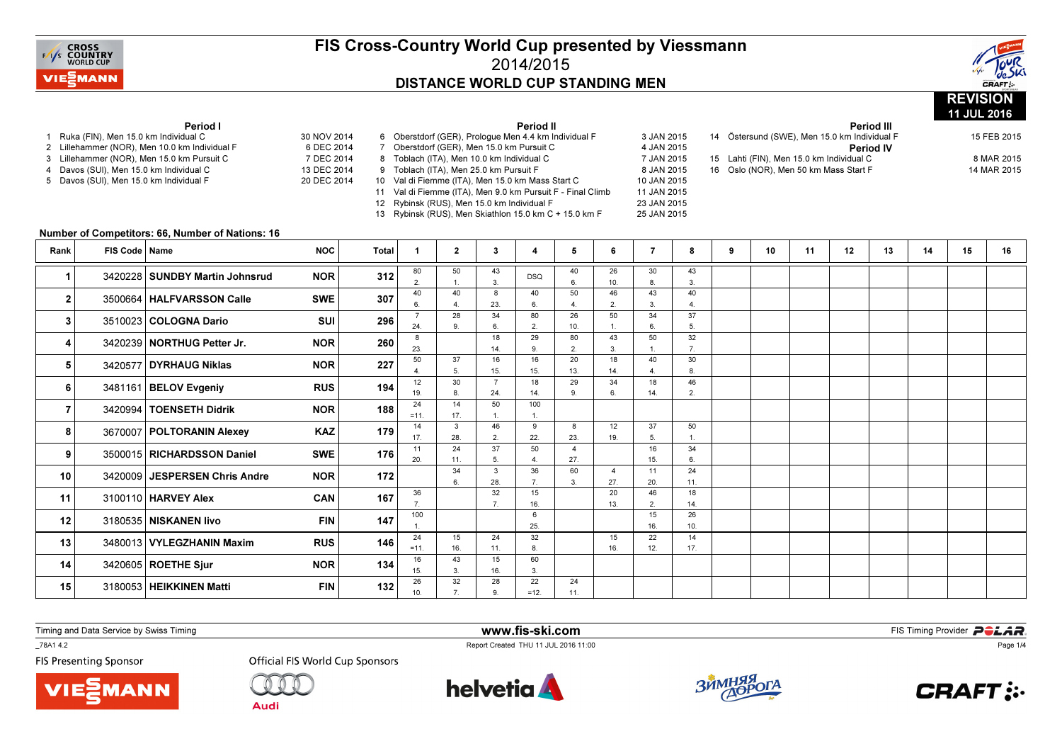



|                                                                                                                                           |                                        |                                                  |                          |              |                                                                                                   |                        |                       |                                                                                                          |                      |                |                            |                      |   |                                                              |    |    |             |    | 11 JUL 2016 |             |  |
|-------------------------------------------------------------------------------------------------------------------------------------------|----------------------------------------|--------------------------------------------------|--------------------------|--------------|---------------------------------------------------------------------------------------------------|------------------------|-----------------------|----------------------------------------------------------------------------------------------------------|----------------------|----------------|----------------------------|----------------------|---|--------------------------------------------------------------|----|----|-------------|----|-------------|-------------|--|
|                                                                                                                                           | 1 Ruka (FIN), Men 15.0 km Individual C | Period I                                         | 30 NOV 2014              |              |                                                                                                   |                        |                       | Period II<br>6 Oberstdorf (GER), Prologue Men 4.4 km Individual F                                        |                      |                | 3 JAN 2015                 |                      |   | 14 Östersund (SWE), Men 15.0 km Individual F                 |    |    | Period III  |    |             | 15 FEB 2015 |  |
| 2 Lillehammer (NOR), Men 10.0 km Individual F<br>3 Lillehammer (NOR), Men 15.0 km Pursuit C<br>Davos (SUI), Men 15.0 km Individual C<br>4 |                                        |                                                  | 6 DEC 2014<br>7 DEC 2014 |              |                                                                                                   |                        |                       | 7 Oberstdorf (GER), Men 15.0 km Pursuit C                                                                |                      |                | 4 JAN 2015<br>7 JAN 2015   |                      |   | <b>Period IV</b><br>15 Lahti (FIN), Men 15.0 km Individual C |    |    |             |    | 8 MAR 2015  |             |  |
|                                                                                                                                           |                                        |                                                  | 13 DEC 2014              |              | 8 Toblach (ITA), Men 10.0 km Individual C<br>9 Toblach (ITA), Men 25.0 km Pursuit F<br>8 JAN 2015 |                        |                       |                                                                                                          |                      |                |                            |                      |   | 16 Oslo (NOR), Men 50 km Mass Start F                        |    |    | 14 MAR 2015 |    |             |             |  |
| 5 Davos (SUI), Men 15.0 km Individual F                                                                                                   |                                        |                                                  |                          | 20 DEC 2014  |                                                                                                   |                        |                       | 10 Val di Fiemme (ITA), Men 15.0 km Mass Start C                                                         |                      |                | 10 JAN 2015                |                      |   |                                                              |    |    |             |    |             |             |  |
|                                                                                                                                           |                                        |                                                  |                          |              |                                                                                                   |                        |                       | 11 Val di Fiemme (ITA), Men 9.0 km Pursuit F - Final Climb<br>12 Rybinsk (RUS), Men 15.0 km Individual F |                      |                | 11 JAN 2015<br>23 JAN 2015 |                      |   |                                                              |    |    |             |    |             |             |  |
|                                                                                                                                           |                                        |                                                  |                          |              |                                                                                                   |                        |                       | 13 Rybinsk (RUS), Men Skiathlon 15.0 km C + 15.0 km F                                                    |                      |                | 25 JAN 2015                |                      |   |                                                              |    |    |             |    |             |             |  |
|                                                                                                                                           |                                        | Number of Competitors: 66, Number of Nations: 16 |                          |              |                                                                                                   |                        |                       |                                                                                                          |                      |                |                            |                      |   |                                                              |    |    |             |    |             |             |  |
| Rank                                                                                                                                      | FIS Code   Name                        |                                                  | <b>NOC</b>               | <b>Total</b> | $\mathbf{1}$                                                                                      | $\overline{2}$         | $3^{\circ}$           | 4                                                                                                        | 5                    | 6              | $\overline{7}$             | 8                    | 9 | 10                                                           | 11 | 12 | 13          | 14 | 15          | 16          |  |
|                                                                                                                                           |                                        |                                                  |                          |              |                                                                                                   |                        |                       |                                                                                                          |                      |                |                            |                      |   |                                                              |    |    |             |    |             |             |  |
| 1                                                                                                                                         |                                        | 3420228 SUNDBY Martin Johnsrud                   | <b>NOR</b>               | 312          | 80<br>2.                                                                                          | 50<br>$\overline{1}$ . | 43<br>3.              | <b>DSQ</b>                                                                                               | 40<br>6.             | 26<br>10.      | 30<br>8.                   | 43<br>3              |   |                                                              |    |    |             |    |             |             |  |
| $\boldsymbol{2}$                                                                                                                          |                                        | 3500664   HALFVARSSON Calle                      | <b>SWE</b>               | 307          | 40                                                                                                | 40                     | 8                     | 40                                                                                                       | 50                   | 46             | 43                         | 40                   |   |                                                              |    |    |             |    |             |             |  |
|                                                                                                                                           |                                        |                                                  |                          |              | 6.<br>$\overline{7}$                                                                              | 4.<br>28               | 23.<br>34             | 6.<br>80                                                                                                 | $\overline{a}$<br>26 | 2.<br>50       | 3.<br>34                   | $\overline{4}$       |   |                                                              |    |    |             |    |             |             |  |
| 3                                                                                                                                         |                                        | 3510023 COLOGNA Dario                            | <b>SUI</b>               | 296          | 24.                                                                                               | 9.                     | 6.                    | 2                                                                                                        | 10.                  | $\overline{1}$ | 6.                         | 37<br>5.             |   |                                                              |    |    |             |    |             |             |  |
| 4                                                                                                                                         |                                        | 3420239 NORTHUG Petter Jr.                       | <b>NOR</b>               | 260          | 8                                                                                                 |                        | 18                    | 29                                                                                                       | 80                   | 43             | 50                         | 32                   |   |                                                              |    |    |             |    |             |             |  |
|                                                                                                                                           |                                        |                                                  |                          |              | 23.<br>50                                                                                         | 37                     | 14.<br>16             | 9<br>16                                                                                                  | 2.<br>20             | 3.<br>18       | $\mathbf{1}$<br>40         | $\overline{7}$<br>30 |   |                                                              |    |    |             |    |             |             |  |
| 5                                                                                                                                         |                                        | 3420577 DYRHAUG Niklas                           | <b>NOR</b>               | 227          | 4                                                                                                 | 5.                     | 15.                   | 15.                                                                                                      | 13.                  | 14.            | $\overline{4}$             | $\mathbf{a}$         |   |                                                              |    |    |             |    |             |             |  |
| 6                                                                                                                                         |                                        | 3481161 BELOV Evgeniy                            | <b>RUS</b>               | 194          | 12<br>19.                                                                                         | 30<br>8.               | $\overline{7}$<br>24. | 18<br>14.                                                                                                | 29<br>9              | 34<br>6.       | 18<br>14.                  | 46<br>$\overline{2}$ |   |                                                              |    |    |             |    |             |             |  |
|                                                                                                                                           |                                        |                                                  |                          |              | 24                                                                                                | 14                     | 50                    | 100                                                                                                      |                      |                |                            |                      |   |                                                              |    |    |             |    |             |             |  |
| 7                                                                                                                                         |                                        | 3420994   TOENSETH Didrik                        | <b>NOR</b>               | 188          | $=11.$                                                                                            | 17.                    | $\mathbf{1}$ .        | $\overline{1}$                                                                                           |                      |                |                            |                      |   |                                                              |    |    |             |    |             |             |  |
| 8                                                                                                                                         |                                        | 3670007   POLTORANIN Alexey                      | <b>KAZ</b>               | 179          | 14<br>17.                                                                                         | $\mathbf{3}$<br>28.    | 46<br>2.              | 9<br>22.                                                                                                 | 8<br>23.             | 12<br>19.      | 37<br>5.                   | 50<br>$\overline{1}$ |   |                                                              |    |    |             |    |             |             |  |
| 9                                                                                                                                         |                                        | 3500015 RICHARDSSON Daniel                       | <b>SWE</b>               | 176          | 11                                                                                                | 24                     | 37                    | 50                                                                                                       | $\overline{4}$       |                | 16                         | 34                   |   |                                                              |    |    |             |    |             |             |  |
|                                                                                                                                           |                                        |                                                  |                          |              | 20.                                                                                               | 11.<br>34              | 5.<br>$\mathbf{3}$    | $\overline{4}$<br>36                                                                                     | 27.<br>60            | $\overline{4}$ | 15.<br>11                  | 6.<br>24             |   |                                                              |    |    |             |    |             |             |  |
| 10                                                                                                                                        |                                        | 3420009 JESPERSEN Chris Andre                    | <b>NOR</b>               | 172          |                                                                                                   | 6.                     | 28.                   | 7 <sub>1</sub>                                                                                           | 3.                   | 27.            | 20.                        | 11.                  |   |                                                              |    |    |             |    |             |             |  |
| 11                                                                                                                                        |                                        | 3100110 HARVEY Alex                              | CAN                      | 167          | 36                                                                                                |                        | 32                    | 15                                                                                                       |                      | 20             | 46                         | 18                   |   |                                                              |    |    |             |    |             |             |  |
|                                                                                                                                           |                                        |                                                  |                          |              | 7.<br>100                                                                                         |                        | 7.                    | 16.<br>6                                                                                                 |                      | 13.            | 2.<br>15                   | 14.<br>26            |   |                                                              |    |    |             |    |             |             |  |
| 12                                                                                                                                        |                                        | 3180535 NISKANEN livo                            | <b>FIN</b>               | 147          |                                                                                                   |                        |                       | 25.                                                                                                      |                      |                | 16.                        | 10.                  |   |                                                              |    |    |             |    |             |             |  |
| 13                                                                                                                                        |                                        | 3480013 VYLEGZHANIN Maxim                        | <b>RUS</b>               | 146          | 24<br>$=11.$                                                                                      | 15<br>16.              | 24<br>11.             | 32<br>8                                                                                                  |                      | 15<br>16.      | 22<br>12.                  | 14<br>17.            |   |                                                              |    |    |             |    |             |             |  |
| 14                                                                                                                                        |                                        | 3420605 ROETHE Sjur                              | <b>NOR</b>               | 134          | 16                                                                                                | 43                     | 15                    | 60                                                                                                       |                      |                |                            |                      |   |                                                              |    |    |             |    |             |             |  |
|                                                                                                                                           |                                        |                                                  |                          |              | 15.<br>26                                                                                         | 3.<br>32               | 16.<br>28             | 3.<br>22                                                                                                 | 24                   |                |                            |                      |   |                                                              |    |    |             |    |             |             |  |
| 15                                                                                                                                        |                                        | 3180053 HEIKKINEN Matti                          | <b>FIN</b>               | 132          | 10.                                                                                               | $\overline{7}$         | 9.                    | $=12.$                                                                                                   | 11.                  |                |                            |                      |   |                                                              |    |    |             |    |             |             |  |

Timing and Data Service by Swiss Timing

**MANN** 

\_78A1 4.2

**FIS Presenting Sponsor** 



**Audi** 



www.fis-ski.com

Report Created THU 11 JUL 2016 11:00



**m**<br>FIS Timing Provider<br>Is 11:00



Page 1/4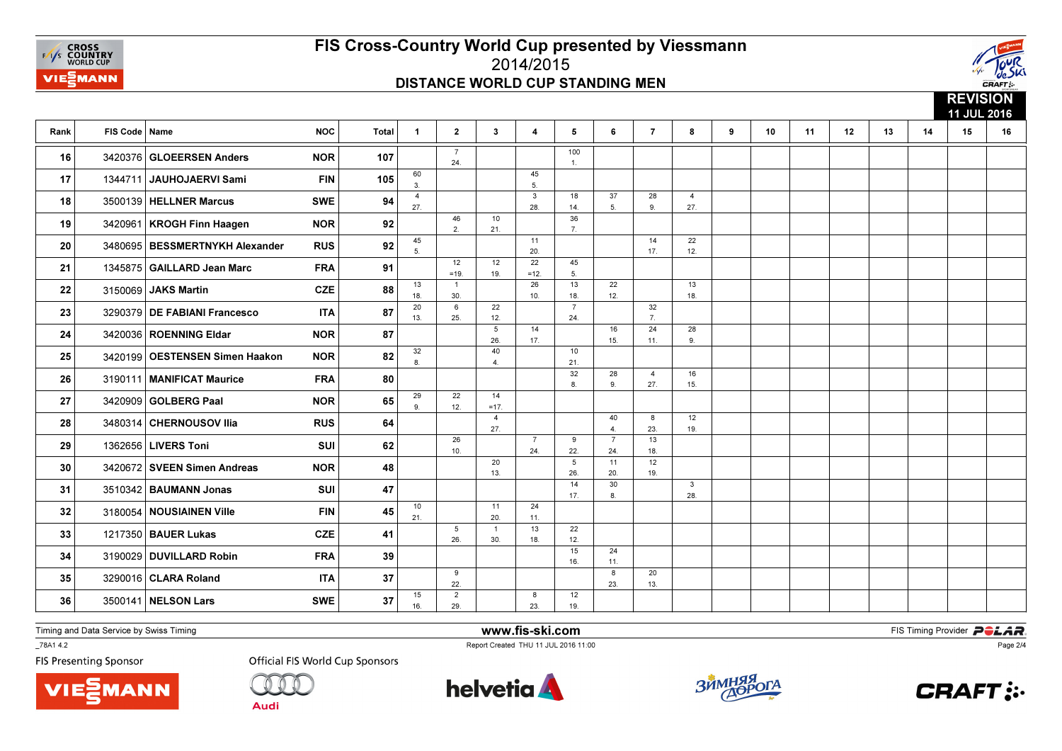



|      |                 |                                  |            |              |                       |                        |                        |                       |                       |                       |                       |                       |   |    |    |    |    |    | <b>INLYIVIVIT</b><br>11 JUL 2016 |    |  |  |
|------|-----------------|----------------------------------|------------|--------------|-----------------------|------------------------|------------------------|-----------------------|-----------------------|-----------------------|-----------------------|-----------------------|---|----|----|----|----|----|----------------------------------|----|--|--|
| Rank | FIS Code   Name |                                  | <b>NOC</b> | <b>Total</b> | $\mathbf{1}$          | $\mathbf{2}$           | $\mathbf{3}$           | 4                     | 5                     | 6                     | $\overline{7}$        | 8                     | 9 | 10 | 11 | 12 | 13 | 14 | 15                               | 16 |  |  |
| 16   |                 | 3420376 GLOEERSEN Anders         | <b>NOR</b> | 107          |                       | 24.                    |                        |                       | 100<br>$\mathbf{1}$ . |                       |                       |                       |   |    |    |    |    |    |                                  |    |  |  |
| 17   | 1344711         | JAUHOJAERVI Sami                 | <b>FIN</b> | 105          | 60<br>3.              |                        |                        | 45<br>5.              |                       |                       |                       |                       |   |    |    |    |    |    |                                  |    |  |  |
| 18   |                 | 3500139   HELLNER Marcus         | <b>SWE</b> | 94           | $\overline{4}$<br>27. |                        |                        | $\mathbf{3}$<br>28.   | 18<br>14.             | 37<br>5.              | 28<br>9.              | $\overline{4}$<br>27. |   |    |    |    |    |    |                                  |    |  |  |
| 19   |                 | 3420961   KROGH Finn Haagen      | <b>NOR</b> | 92           |                       | 46<br>2.               | 10<br>21.              |                       | 36<br>7.              |                       |                       |                       |   |    |    |    |    |    |                                  |    |  |  |
| 20   |                 | 3480695   BESSMERTNYKH Alexander | <b>RUS</b> | 92           | 45<br>5.              |                        |                        | 11<br>20.             |                       |                       | 14<br>17.             | 22<br>12.             |   |    |    |    |    |    |                                  |    |  |  |
| 21   |                 | 1345875 GAILLARD Jean Marc       | <b>FRA</b> | 91           |                       | 12<br>$=19.$           | 12<br>19.              | 22<br>$=12.$          | 45<br>5.              |                       |                       |                       |   |    |    |    |    |    |                                  |    |  |  |
| 22   | 3150069         | JAKS Martin                      | <b>CZE</b> | 88           | 13<br>18.             | $\mathbf{1}$<br>30.    |                        | 26<br>10.             | 13<br>18.             | 22<br>12.             |                       | 13<br>18.             |   |    |    |    |    |    |                                  |    |  |  |
| 23   |                 | 3290379 DE FABIANI Francesco     | <b>ITA</b> | 87           | 20<br>13.             | 6<br>25.               | 22<br>12.              |                       | $\overline{7}$<br>24. |                       | 32<br>7 <sub>1</sub>  |                       |   |    |    |    |    |    |                                  |    |  |  |
| 24   |                 | 3420036   ROENNING Eldar         | <b>NOR</b> | 87           |                       |                        | $5\phantom{.0}$<br>26. | 14<br>17.             |                       | 16<br>15.             | 24<br>11.             | 28<br>9               |   |    |    |    |    |    |                                  |    |  |  |
| 25   |                 | 3420199   OESTENSEN Simen Haakon | <b>NOR</b> | 82           | 32<br>8.              |                        | 40<br>4.               |                       | 10<br>21.             |                       |                       |                       |   |    |    |    |    |    |                                  |    |  |  |
| 26   |                 | 3190111 MANIFICAT Maurice        | <b>FRA</b> | 80           |                       |                        |                        |                       | 32<br>8.              | 28<br>9.              | $\overline{4}$<br>27. | 16<br>15.             |   |    |    |    |    |    |                                  |    |  |  |
| 27   | 3420909         | GOLBERG Paal                     | <b>NOR</b> | 65           | 29<br>9.              | 22<br>12.              | 14<br>$=17.$           |                       |                       |                       |                       |                       |   |    |    |    |    |    |                                  |    |  |  |
| 28   |                 | 3480314 CHERNOUSOV Ilia          | <b>RUS</b> | 64           |                       |                        | $\overline{4}$<br>27.  |                       |                       | 40<br>4.              | 8<br>23.              | 12<br>19.             |   |    |    |    |    |    |                                  |    |  |  |
| 29   |                 | 1362656 LIVERS Toni              | SUI        | 62           |                       | 26<br>10.              |                        | $\overline{7}$<br>24. | 9<br>22.              | $\overline{7}$<br>24. | 13<br>18.             |                       |   |    |    |    |    |    |                                  |    |  |  |
| 30   |                 | 3420672 SVEEN Simen Andreas      | <b>NOR</b> | 48           |                       |                        | 20<br>13.              |                       | 5<br>26.              | 11<br>20.             | 12<br>19.             |                       |   |    |    |    |    |    |                                  |    |  |  |
| 31   |                 | 3510342   BAUMANN Jonas          | SUI        | 47           |                       |                        |                        |                       | 14<br>17.             | 30<br>8.              |                       | $\mathbf{3}$<br>28.   |   |    |    |    |    |    |                                  |    |  |  |
| 32   |                 | 3180054 NOUSIAINEN Ville         | <b>FIN</b> | 45           | 10<br>21.             |                        | 11<br>20.              | 24<br>11.             |                       |                       |                       |                       |   |    |    |    |    |    |                                  |    |  |  |
| 33   |                 | 1217350 BAUER Lukas              | <b>CZE</b> | 41           |                       | $5\phantom{.0}$<br>26. | $\mathbf{1}$<br>30.    | 13<br>18.             | 22<br>12.             |                       |                       |                       |   |    |    |    |    |    |                                  |    |  |  |
| 34   |                 | 3190029 DUVILLARD Robin          | <b>FRA</b> | 39           |                       |                        |                        |                       | 15<br>16.             | 24<br>11.             |                       |                       |   |    |    |    |    |    |                                  |    |  |  |
| 35   |                 | 3290016   CLARA Roland           | <b>ITA</b> | 37           |                       | 9<br>22.               |                        |                       |                       | 8<br>23.              | 20<br>13.             |                       |   |    |    |    |    |    |                                  |    |  |  |
| 36   |                 | 3500141   NELSON Lars            | <b>SWE</b> | 37           | 15<br>16.             | $\overline{2}$<br>29.  |                        | 8<br>23.              | 12<br>19.             |                       |                       |                       |   |    |    |    |    |    |                                  |    |  |  |

Timing and Data Service by Swiss Timing

\_78A1 4.2

**FIS Presenting Sponsor** 





**Official FIS World Cup Sponsors** 



www.fis-ski.com

Report Created THU 11 JUL 2016 11:00



**m**<br>FIS Timing Provider<br>Is 11:00



Page 2/4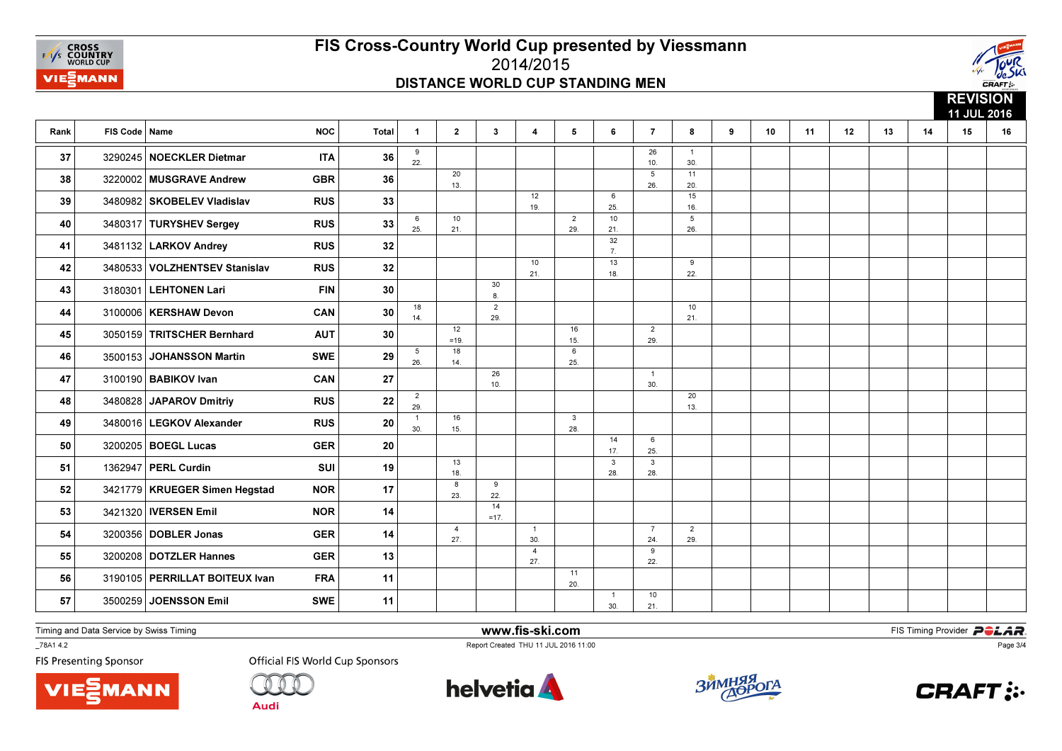



|      |                 |                                |            |            |                       |                       |                       |                       |                        |                     |                       |                       |   |    |    |    |    |    | <b>KEVISIUN</b><br>11 JUL 2016 |    |
|------|-----------------|--------------------------------|------------|------------|-----------------------|-----------------------|-----------------------|-----------------------|------------------------|---------------------|-----------------------|-----------------------|---|----|----|----|----|----|--------------------------------|----|
| Rank | FIS Code   Name |                                | <b>NOC</b> | Total      | $\mathbf{1}$          | $\mathbf{2}$          | $\mathbf{3}$          | $\overline{4}$        | $5^{\circ}$            | 6                   | $\overline{7}$        | 8                     | 9 | 10 | 11 | 12 | 13 | 14 | 15                             | 16 |
| 37   |                 | 3290245 NOECKLER Dietmar       | <b>ITA</b> | 36         | 9<br>22.              |                       |                       |                       |                        |                     | 26<br>10.             | $\overline{1}$<br>30. |   |    |    |    |    |    |                                |    |
| 38   |                 | 3220002 MUSGRAVE Andrew        | <b>GBR</b> | 36         |                       | 20<br>13.             |                       |                       |                        |                     | 5<br>26.              | 11<br>20.             |   |    |    |    |    |    |                                |    |
| 39   |                 | 3480982 SKOBELEV Vladislav     | <b>RUS</b> | 33         |                       |                       |                       | 12<br>19.             |                        | 6<br>25.            |                       | 15<br>16.             |   |    |    |    |    |    |                                |    |
| 40   |                 | 3480317 TURYSHEV Sergey        | <b>RUS</b> | 33         | 6<br>25.              | 10<br>21.             |                       |                       | $\overline{2}$<br>29.  | 10<br>21.           |                       | 5<br>26.              |   |    |    |    |    |    |                                |    |
| 41   |                 | 3481132 LARKOV Andrey          | <b>RUS</b> | 32         |                       |                       |                       |                       |                        | 32<br>7.            |                       |                       |   |    |    |    |    |    |                                |    |
| 42   |                 | 3480533 VOLZHENTSEV Stanislav  | <b>RUS</b> | 32         |                       |                       |                       | 10<br>21.             |                        | 13<br>18.           |                       | 9<br>22.              |   |    |    |    |    |    |                                |    |
| 43   |                 | 3180301 LEHTONEN Lari          | <b>FIN</b> | 30         |                       |                       | 30<br>8.              |                       |                        |                     |                       |                       |   |    |    |    |    |    |                                |    |
| 44   |                 | 3100006   KERSHAW Devon        | CAN        | 30         | 18<br>14.             |                       | $\overline{2}$<br>29. |                       |                        |                     |                       | 10<br>21.             |   |    |    |    |    |    |                                |    |
| 45   |                 | 3050159 TRITSCHER Bernhard     | <b>AUT</b> | 30         |                       | 12<br>$=19.$          |                       |                       | 16<br>15.              |                     | $\overline{2}$<br>29. |                       |   |    |    |    |    |    |                                |    |
| 46   |                 | 3500153 JOHANSSON Martin       | <b>SWE</b> | 29         | 5<br>26.              | 18<br>14.             |                       |                       | $6\overline{6}$<br>25. |                     |                       |                       |   |    |    |    |    |    |                                |    |
| 47   |                 | 3100190   BABIKOV Ivan         | CAN        | 27         |                       |                       | 26<br>10.             |                       |                        |                     | $\overline{1}$<br>30. |                       |   |    |    |    |    |    |                                |    |
| 48   |                 | 3480828 JAPAROV Dmitriy        | <b>RUS</b> | ${\bf 22}$ | $\overline{2}$<br>29. |                       |                       |                       |                        |                     |                       | 20<br>13.             |   |    |    |    |    |    |                                |    |
| 49   |                 | 3480016   LEGKOV Alexander     | <b>RUS</b> | 20         | $\mathbf{1}$<br>30.   | 16<br>15.             |                       |                       | $\mathbf{3}$<br>28.    |                     |                       |                       |   |    |    |    |    |    |                                |    |
| 50   |                 | 3200205   BOEGL Lucas          | <b>GER</b> | 20         |                       |                       |                       |                       |                        | 14<br>17.           | 6<br>25.              |                       |   |    |    |    |    |    |                                |    |
| 51   |                 | 1362947 PERL Curdin            | <b>SUI</b> | 19         |                       | 13<br>18.             |                       |                       |                        | 3<br>28.            | 3<br>28.              |                       |   |    |    |    |    |    |                                |    |
| 52   |                 | 3421779 KRUEGER Simen Hegstad  | <b>NOR</b> | 17         |                       | 8<br>23.              | 9<br>22.              |                       |                        |                     |                       |                       |   |    |    |    |    |    |                                |    |
| 53   |                 | 3421320   IVERSEN Emil         | <b>NOR</b> | 14         |                       |                       | 14<br>$=17.$          |                       |                        |                     |                       |                       |   |    |    |    |    |    |                                |    |
| 54   |                 | 3200356 DOBLER Jonas           | <b>GER</b> | 14         |                       | $\overline{4}$<br>27. |                       | $\overline{1}$<br>30. |                        |                     | $\overline{7}$<br>24. | $\overline{2}$<br>29. |   |    |    |    |    |    |                                |    |
| 55   |                 | 3200208 DOTZLER Hannes         | <b>GER</b> | 13         |                       |                       |                       | $\overline{4}$<br>27. |                        |                     | 9<br>22.              |                       |   |    |    |    |    |    |                                |    |
| 56   |                 | 3190105 PERRILLAT BOITEUX Ivan | <b>FRA</b> | 11         |                       |                       |                       |                       | 11<br>20.              |                     |                       |                       |   |    |    |    |    |    |                                |    |
| 57   |                 | 3500259 JOENSSON Emil          | <b>SWE</b> | 11         |                       |                       |                       |                       |                        | $\mathbf{1}$<br>30. | 10<br>21.             |                       |   |    |    |    |    |    |                                |    |

Timing and Data Service by Swiss Timing

**MANN** 

\_78A1 4.2

**FIS Presenting Sponsor** 



**Audi** 



www.fis-ski.com

Report Created THU 11 JUL 2016 11:00



**m**<br>FIS Timing Provider<br>Is 11:00



Page 3/4